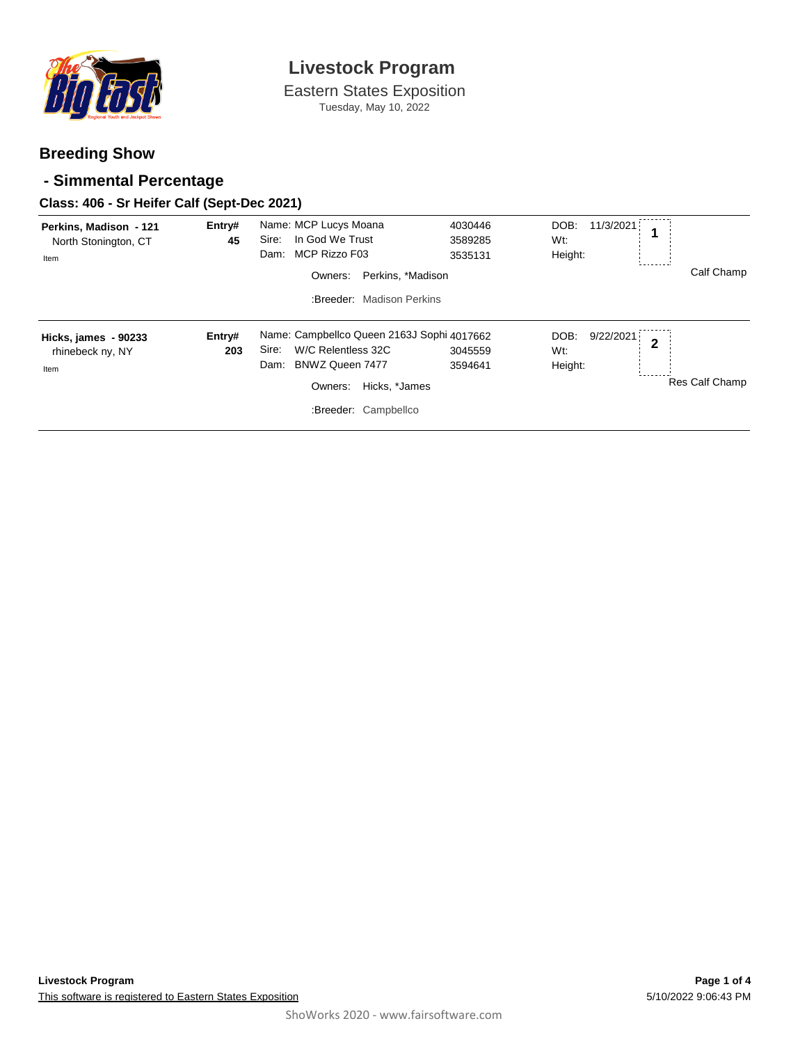

Eastern States Exposition Tuesday, May 10, 2022

### **Breeding Show**

### **- Simmental Percentage**

#### **Class: 406 - Sr Heifer Calf (Sept-Dec 2021)**

| Perkins, Madison - 121<br>North Stonington, CT<br>Item | Entry#<br>45  | Name: MCP Lucys Moana<br>In God We Trust<br>Sire:<br>MCP Rizzo F03<br>Dam:<br>Perkins, *Madison<br>Owners:<br>:Breeder: Madison Perkins                  | 4030446<br>3589285<br>3535131 | 11/3/2021<br>DOB:<br>Wt:<br>Height: | 1            | Calf Champ     |
|--------------------------------------------------------|---------------|----------------------------------------------------------------------------------------------------------------------------------------------------------|-------------------------------|-------------------------------------|--------------|----------------|
| Hicks, james - 90233<br>rhinebeck ny, NY<br>Item       | Entry#<br>203 | Name: Campbellco Queen 2163J Sophi 4017662<br>W/C Relentless 32C<br>Sire:<br>BNWZ Queen 7477<br>Dam:<br>Owners:<br>Hicks, *James<br>:Breeder: Campbellco | 3045559<br>3594641            | 9/22/2021<br>DOB:<br>Wt:<br>Height: | $\mathbf{2}$ | Res Calf Champ |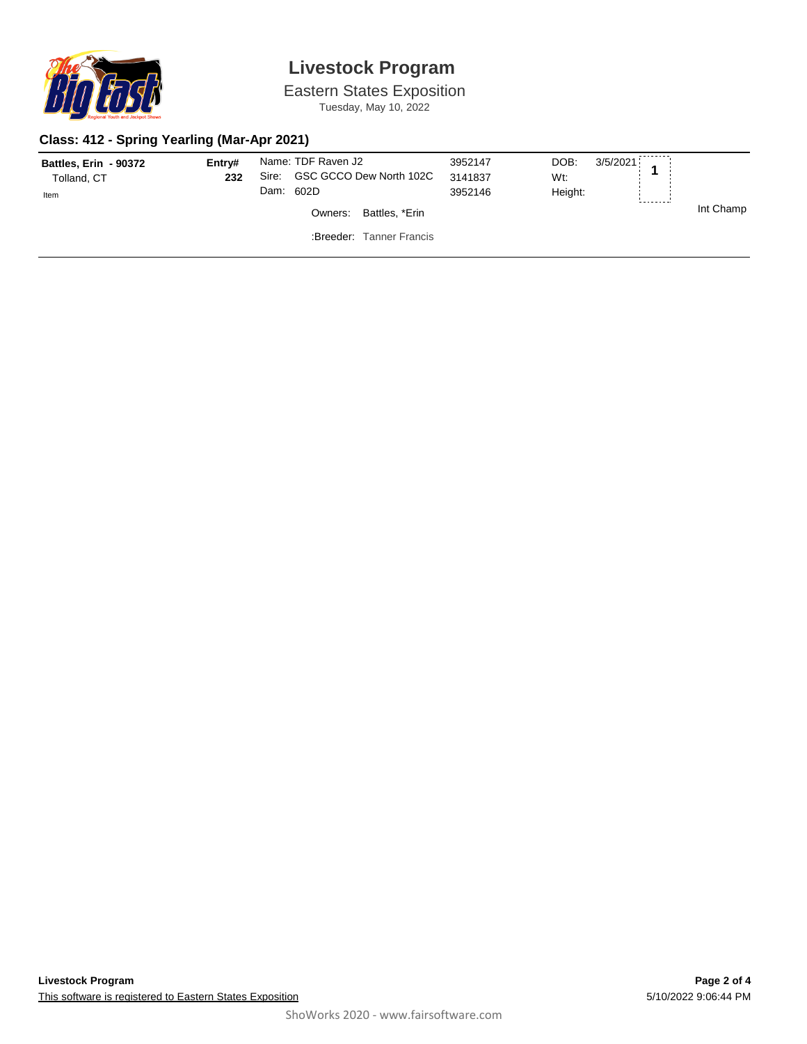

# **Livestock Program**

Eastern States Exposition Tuesday, May 10, 2022

### **Class: 412 - Spring Yearling (Mar-Apr 2021)**

| <b>Battles, Erin - 90372</b><br>Tolland, CT<br>Item | Entrv#<br>232 | Dam: 602D | Name: TDF Raven J2<br>Sire: GSC GCCO Dew North 102C | 3952147<br>3141837<br>3952146 | $3/5/2021$ 4<br>DOB:<br>Wt:<br>Height: | -------- |           |
|-----------------------------------------------------|---------------|-----------|-----------------------------------------------------|-------------------------------|----------------------------------------|----------|-----------|
|                                                     |               |           | Battles, *Erin<br>Owners:                           |                               |                                        |          | Int Champ |
|                                                     |               |           | :Breeder: Tanner Francis                            |                               |                                        |          |           |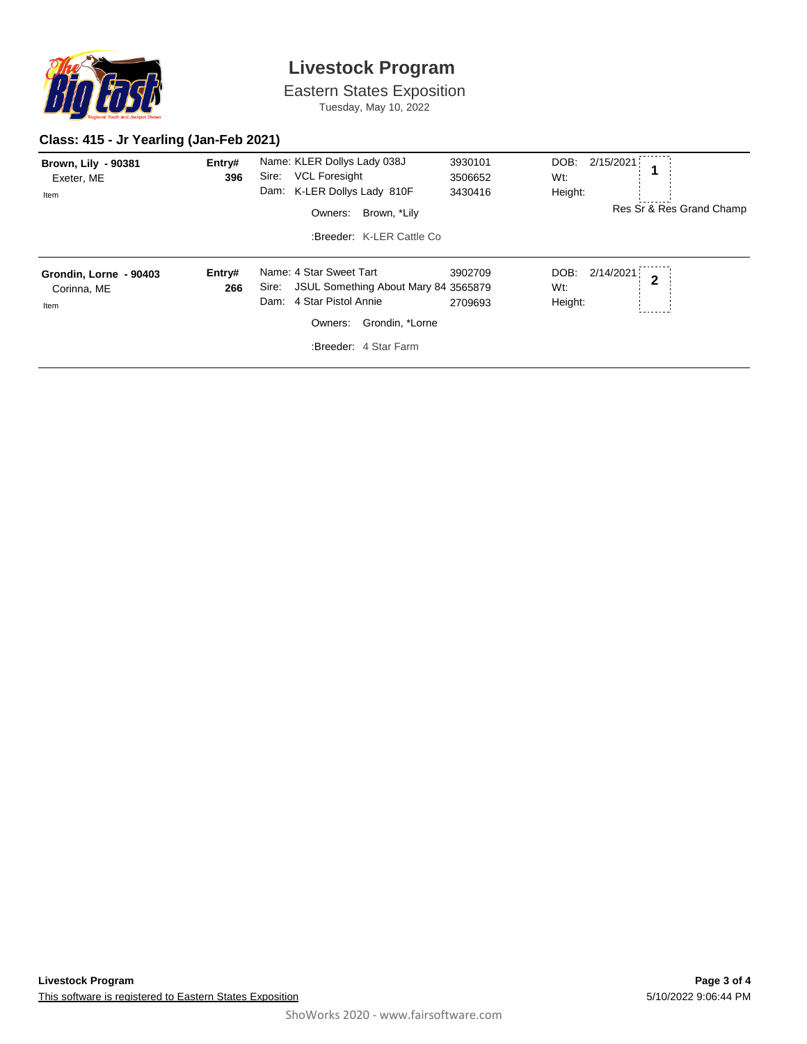

# **Livestock Program**

Eastern States Exposition Tuesday, May 10, 2022

### **Class: 415 - Jr Yearling (Jan-Feb 2021)**

| <b>Brown, Lily - 90381</b><br>Exeter, ME<br>Item | Entry#<br>396 | Name: KLER Dollys Lady 038J<br><b>VCL Foresight</b><br>Sire:<br>Dam: K-LER Dollys Lady 810F<br>Brown, *Lily<br>Owners:<br>:Breeder: K-LER Cattle Co         | 3930101<br>3506652<br>3430416 | DOB:<br>2/15/2021<br>1<br>Wt:<br>Height:<br>Res Sr & Res Grand Champ |
|--------------------------------------------------|---------------|-------------------------------------------------------------------------------------------------------------------------------------------------------------|-------------------------------|----------------------------------------------------------------------|
| Grondin, Lorne - 90403<br>Corinna, ME<br>Item    | Entry#<br>266 | Name: 4 Star Sweet Tart<br>JSUL Something About Mary 84 3565879<br>Sire:<br>Dam: 4 Star Pistol Annie<br>Grondin, *Lorne<br>Owners:<br>:Breeder: 4 Star Farm | 3902709<br>2709693            | 2/14/2021<br>DOB:<br>$\overline{2}$<br>Wt:<br>Height:                |